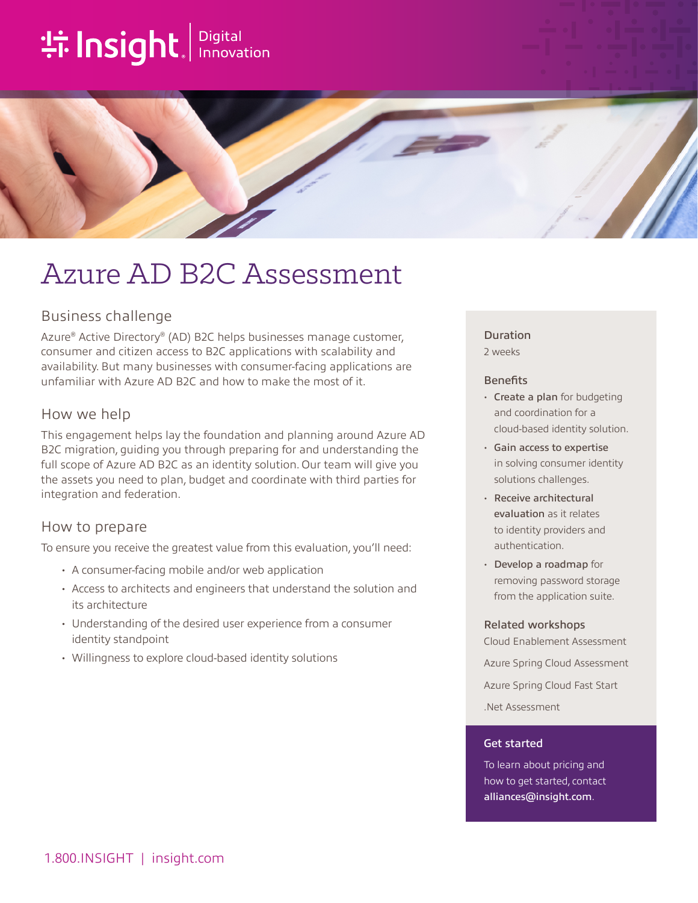# **the Insight**. Innovation



# Azure AD B2C Assessment

# Business challenge

Azure® Active Directory® (AD) B2C helps businesses manage customer, consumer and citizen access to B2C applications with scalability and availability. But many businesses with consumer-facing applications are unfamiliar with Azure AD B2C and how to make the most of it.

### How we help

This engagement helps lay the foundation and planning around Azure AD B2C migration, guiding you through preparing for and understanding the full scope of Azure AD B2C as an identity solution. Our team will give you the assets you need to plan, budget and coordinate with third parties for integration and federation.

## How to prepare

To ensure you receive the greatest value from this evaluation, you'll need:

- A consumer-facing mobile and/or web application
- Access to architects and engineers that understand the solution and its architecture
- Understanding of the desired user experience from a consumer identity standpoint
- Willingness to explore cloud-based identity solutions

#### Duration

2 weeks

#### **Benefits**

- Create a plan for budgeting and coordination for a cloud-based identity solution.
- Gain access to expertise in solving consumer identity solutions challenges.
- Receive architectural evaluation as it relates to identity providers and authentication.
- Develop a roadmap for removing password storage from the application suite.

#### Related workshops

Cloud Enablement Assessment

Azure Spring Cloud Assessment

Azure Spring Cloud Fast Start

.Net Assessment

#### Get started

To learn about pricing and how to get started, contact [alliances@insight.com](mailto:alliances@insight.com).